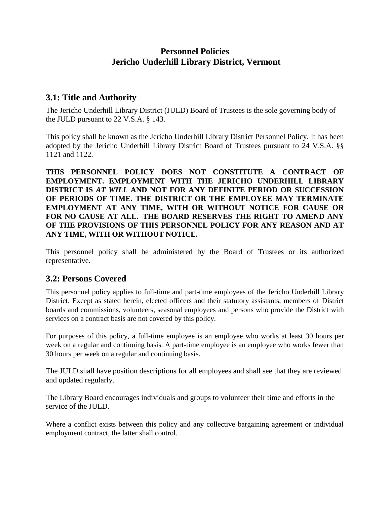# **Personnel Policies Jericho Underhill Library District, Vermont**

#### **3.1: Title and Authority**

The Jericho Underhill Library District (JULD) Board of Trustees is the sole governing body of the JULD pursuant to 22 V.S.A. § 143.

This policy shall be known as the Jericho Underhill Library District Personnel Policy. It has been adopted by the Jericho Underhill Library District Board of Trustees pursuant to 24 V.S.A. §§ 1121 and 1122.

**THIS PERSONNEL POLICY DOES NOT CONSTITUTE A CONTRACT OF EMPLOYMENT. EMPLOYMENT WITH THE JERICHO UNDERHILL LIBRARY DISTRICT IS** *AT WILL* **AND NOT FOR ANY DEFINITE PERIOD OR SUCCESSION OF PERIODS OF TIME. THE DISTRICT OR THE EMPLOYEE MAY TERMINATE EMPLOYMENT AT ANY TIME, WITH OR WITHOUT NOTICE FOR CAUSE OR FOR NO CAUSE AT ALL. THE BOARD RESERVES THE RIGHT TO AMEND ANY OF THE PROVISIONS OF THIS PERSONNEL POLICY FOR ANY REASON AND AT ANY TIME, WITH OR WITHOUT NOTICE.** 

This personnel policy shall be administered by the Board of Trustees or its authorized representative.

#### **3.2: Persons Covered**

This personnel policy applies to full-time and part-time employees of the Jericho Underhill Library District. Except as stated herein, elected officers and their statutory assistants, members of District boards and commissions, volunteers, seasonal employees and persons who provide the District with services on a contract basis are not covered by this policy.

For purposes of this policy, a full-time employee is an employee who works at least 30 hours per week on a regular and continuing basis. A part-time employee is an employee who works fewer than 30 hours per week on a regular and continuing basis.

The JULD shall have position descriptions for all employees and shall see that they are reviewed and updated regularly.

The Library Board encourages individuals and groups to volunteer their time and efforts in the service of the JULD.

Where a conflict exists between this policy and any collective bargaining agreement or individual employment contract, the latter shall control.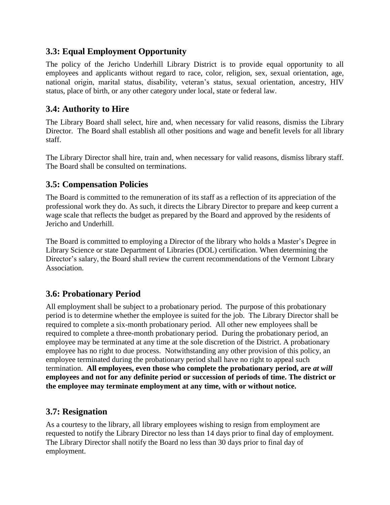# **3.3: Equal Employment Opportunity**

The policy of the Jericho Underhill Library District is to provide equal opportunity to all employees and applicants without regard to race, color, religion, sex, sexual orientation, age, national origin, marital status, disability, veteran's status, sexual orientation, ancestry, HIV status, place of birth, or any other category under local, state or federal law.

### **3.4: Authority to Hire**

The Library Board shall select, hire and, when necessary for valid reasons, dismiss the Library Director. The Board shall establish all other positions and wage and benefit levels for all library staff.

The Library Director shall hire, train and, when necessary for valid reasons, dismiss library staff. The Board shall be consulted on terminations.

# **3.5: Compensation Policies**

The Board is committed to the remuneration of its staff as a reflection of its appreciation of the professional work they do. As such, it directs the Library Director to prepare and keep current a wage scale that reflects the budget as prepared by the Board and approved by the residents of Jericho and Underhill.

The Board is committed to employing a Director of the library who holds a Master's Degree in Library Science or state Department of Libraries (DOL) certification. When determining the Director's salary, the Board shall review the current recommendations of the Vermont Library Association.

# **3.6: Probationary Period**

All employment shall be subject to a probationary period. The purpose of this probationary period is to determine whether the employee is suited for the job. The Library Director shall be required to complete a six-month probationary period. All other new employees shall be required to complete a three-month probationary period. During the probationary period, an employee may be terminated at any time at the sole discretion of the District. A probationary employee has no right to due process. Notwithstanding any other provision of this policy, an employee terminated during the probationary period shall have no right to appeal such termination. **All employees, even those who complete the probationary period, are** *at will*  **employees and not for any definite period or succession of periods of time. The district or the employee may terminate employment at any time, with or without notice.**

# **3.7: Resignation**

As a courtesy to the library, all library employees wishing to resign from employment are requested to notify the Library Director no less than 14 days prior to final day of employment. The Library Director shall notify the Board no less than 30 days prior to final day of employment.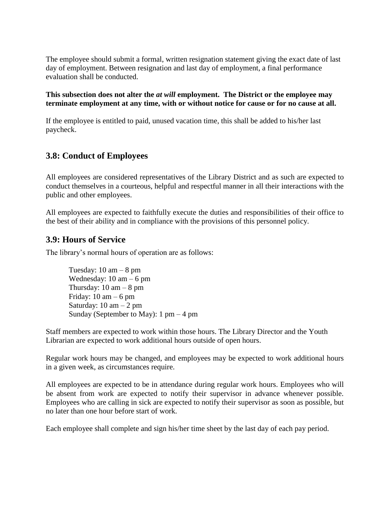The employee should submit a formal, written resignation statement giving the exact date of last day of employment. Between resignation and last day of employment, a final performance evaluation shall be conducted.

#### **This subsection does not alter the** *at will* **employment. The District or the employee may terminate employment at any time, with or without notice for cause or for no cause at all.**

If the employee is entitled to paid, unused vacation time, this shall be added to his/her last paycheck.

### **3.8: Conduct of Employees**

All employees are considered representatives of the Library District and as such are expected to conduct themselves in a courteous, helpful and respectful manner in all their interactions with the public and other employees.

All employees are expected to faithfully execute the duties and responsibilities of their office to the best of their ability and in compliance with the provisions of this personnel policy.

### **3.9: Hours of Service**

The library's normal hours of operation are as follows:

Tuesday:  $10 \text{ am} - 8 \text{ pm}$ Wednesday:  $10 \text{ am} - 6 \text{ pm}$ Thursday:  $10 \text{ am} - 8 \text{ pm}$ Friday:  $10 \text{ am} - 6 \text{ pm}$ Saturday:  $10 \text{ am} - 2 \text{ pm}$ Sunday (September to May):  $1 \text{ pm} - 4 \text{ pm}$ 

Staff members are expected to work within those hours. The Library Director and the Youth Librarian are expected to work additional hours outside of open hours.

Regular work hours may be changed, and employees may be expected to work additional hours in a given week, as circumstances require.

All employees are expected to be in attendance during regular work hours. Employees who will be absent from work are expected to notify their supervisor in advance whenever possible. Employees who are calling in sick are expected to notify their supervisor as soon as possible, but no later than one hour before start of work.

Each employee shall complete and sign his/her time sheet by the last day of each pay period.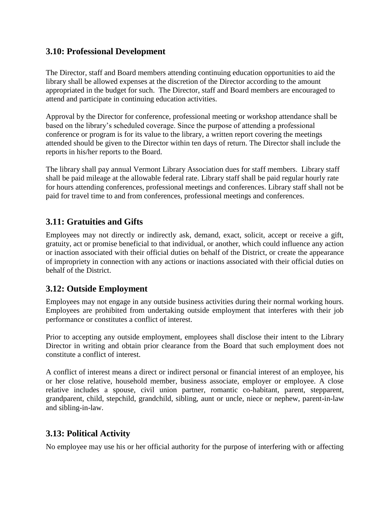#### **3.10: Professional Development**

The Director, staff and Board members attending continuing education opportunities to aid the library shall be allowed expenses at the discretion of the Director according to the amount appropriated in the budget for such. The Director, staff and Board members are encouraged to attend and participate in continuing education activities.

Approval by the Director for conference, professional meeting or workshop attendance shall be based on the library's scheduled coverage. Since the purpose of attending a professional conference or program is for its value to the library, a written report covering the meetings attended should be given to the Director within ten days of return. The Director shall include the reports in his/her reports to the Board.

The library shall pay annual Vermont Library Association dues for staff members. Library staff shall be paid mileage at the allowable federal rate. Library staff shall be paid regular hourly rate for hours attending conferences, professional meetings and conferences. Library staff shall not be paid for travel time to and from conferences, professional meetings and conferences.

# **3.11: Gratuities and Gifts**

Employees may not directly or indirectly ask, demand, exact, solicit, accept or receive a gift, gratuity, act or promise beneficial to that individual, or another, which could influence any action or inaction associated with their official duties on behalf of the District, or create the appearance of impropriety in connection with any actions or inactions associated with their official duties on behalf of the District.

### **3.12: Outside Employment**

Employees may not engage in any outside business activities during their normal working hours. Employees are prohibited from undertaking outside employment that interferes with their job performance or constitutes a conflict of interest.

Prior to accepting any outside employment, employees shall disclose their intent to the Library Director in writing and obtain prior clearance from the Board that such employment does not constitute a conflict of interest.

A conflict of interest means a direct or indirect personal or financial interest of an employee, his or her close relative, household member, business associate, employer or employee. A close relative includes a spouse, civil union partner, romantic co-habitant, parent, stepparent, grandparent, child, stepchild, grandchild, sibling, aunt or uncle, niece or nephew, parent-in-law and sibling-in-law.

### **3.13: Political Activity**

No employee may use his or her official authority for the purpose of interfering with or affecting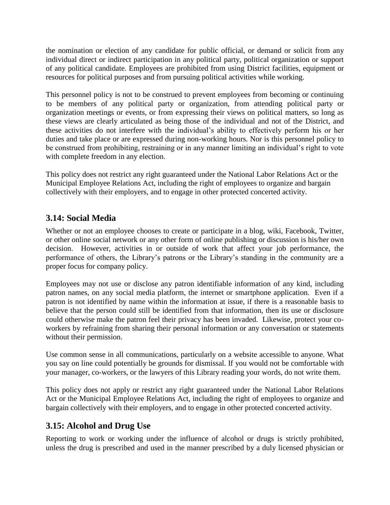the nomination or election of any candidate for public official, or demand or solicit from any individual direct or indirect participation in any political party, political organization or support of any political candidate. Employees are prohibited from using District facilities, equipment or resources for political purposes and from pursuing political activities while working.

This personnel policy is not to be construed to prevent employees from becoming or continuing to be members of any political party or organization, from attending political party or organization meetings or events, or from expressing their views on political matters, so long as these views are clearly articulated as being those of the individual and not of the District, and these activities do not interfere with the individual's ability to effectively perform his or her duties and take place or are expressed during non-working hours. Nor is this personnel policy to be construed from prohibiting, restraining or in any manner limiting an individual's right to vote with complete freedom in any election.

This policy does not restrict any right guaranteed under the National Labor Relations Act or the Municipal Employee Relations Act, including the right of employees to organize and bargain collectively with their employers, and to engage in other protected concerted activity.

### **3.14: Social Media**

Whether or not an employee chooses to create or participate in a blog, wiki, Facebook, Twitter, or other online social network or any other form of online publishing or discussion is his/her own decision. However, activities in or outside of work that affect your job performance, the performance of others, the Library's patrons or the Library's standing in the community are a proper focus for company policy.

Employees may not use or disclose any patron identifiable information of any kind, including patron names, on any social media platform, the internet or smartphone application. Even if a patron is not identified by name within the information at issue, if there is a reasonable basis to believe that the person could still be identified from that information, then its use or disclosure could otherwise make the patron feel their privacy has been invaded. Likewise, protect your coworkers by refraining from sharing their personal information or any conversation or statements without their permission.

Use common sense in all communications, particularly on a website accessible to anyone. What you say on line could potentially be grounds for dismissal. If you would not be comfortable with your manager, co-workers, or the lawyers of this Library reading your words, do not write them.

This policy does not apply or restrict any right guaranteed under the National Labor Relations Act or the Municipal Employee Relations Act, including the right of employees to organize and bargain collectively with their employers, and to engage in other protected concerted activity.

### **3.15: Alcohol and Drug Use**

Reporting to work or working under the influence of alcohol or drugs is strictly prohibited, unless the drug is prescribed and used in the manner prescribed by a duly licensed physician or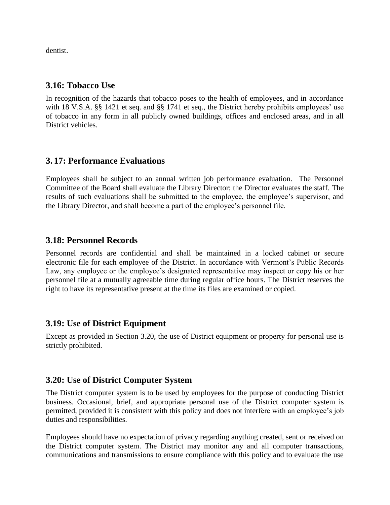dentist.

#### **3.16: Tobacco Use**

In recognition of the hazards that tobacco poses to the health of employees, and in accordance with 18 V.S.A. §§ 1421 et seq. and §§ 1741 et seq., the District hereby prohibits employees' use of tobacco in any form in all publicly owned buildings, offices and enclosed areas, and in all District vehicles.

#### **3. 17: Performance Evaluations**

Employees shall be subject to an annual written job performance evaluation. The Personnel Committee of the Board shall evaluate the Library Director; the Director evaluates the staff. The results of such evaluations shall be submitted to the employee, the employee's supervisor, and the Library Director, and shall become a part of the employee's personnel file.

#### **3.18: Personnel Records**

Personnel records are confidential and shall be maintained in a locked cabinet or secure electronic file for each employee of the District. In accordance with Vermont's Public Records Law, any employee or the employee's designated representative may inspect or copy his or her personnel file at a mutually agreeable time during regular office hours. The District reserves the right to have its representative present at the time its files are examined or copied.

#### **3.19: Use of District Equipment**

Except as provided in Section 3.20, the use of District equipment or property for personal use is strictly prohibited.

#### **3.20: Use of District Computer System**

The District computer system is to be used by employees for the purpose of conducting District business. Occasional, brief, and appropriate personal use of the District computer system is permitted, provided it is consistent with this policy and does not interfere with an employee's job duties and responsibilities.

Employees should have no expectation of privacy regarding anything created, sent or received on the District computer system. The District may monitor any and all computer transactions, communications and transmissions to ensure compliance with this policy and to evaluate the use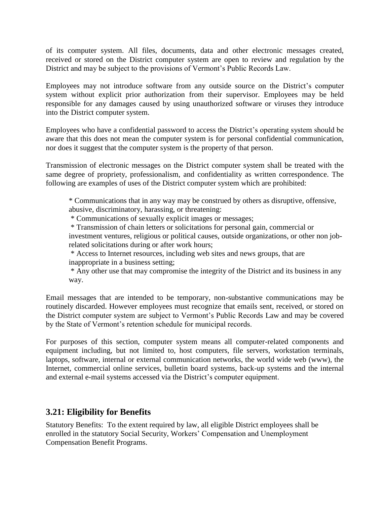of its computer system. All files, documents, data and other electronic messages created, received or stored on the District computer system are open to review and regulation by the District and may be subject to the provisions of Vermont's Public Records Law.

Employees may not introduce software from any outside source on the District's computer system without explicit prior authorization from their supervisor. Employees may be held responsible for any damages caused by using unauthorized software or viruses they introduce into the District computer system.

Employees who have a confidential password to access the District's operating system should be aware that this does not mean the computer system is for personal confidential communication, nor does it suggest that the computer system is the property of that person.

Transmission of electronic messages on the District computer system shall be treated with the same degree of propriety, professionalism, and confidentiality as written correspondence. The following are examples of uses of the District computer system which are prohibited:

\* Communications that in any way may be construed by others as disruptive, offensive, abusive, discriminatory, harassing, or threatening:

\* Communications of sexually explicit images or messages;

\* Transmission of chain letters or solicitations for personal gain, commercial or

investment ventures, religious or political causes, outside organizations, or other non jobrelated solicitations during or after work hours;

\* Access to Internet resources, including web sites and news groups, that are

inappropriate in a business setting;

\* Any other use that may compromise the integrity of the District and its business in any way.

Email messages that are intended to be temporary, non-substantive communications may be routinely discarded. However employees must recognize that emails sent, received, or stored on the District computer system are subject to Vermont's Public Records Law and may be covered by the State of Vermont's retention schedule for municipal records.

For purposes of this section, computer system means all computer-related components and equipment including, but not limited to, host computers, file servers, workstation terminals, laptops, software, internal or external communication networks, the world wide web (www), the Internet, commercial online services, bulletin board systems, back-up systems and the internal and external e-mail systems accessed via the District's computer equipment.

### **3.21: Eligibility for Benefits**

Statutory Benefits: To the extent required by law, all eligible District employees shall be enrolled in the statutory Social Security, Workers' Compensation and Unemployment Compensation Benefit Programs.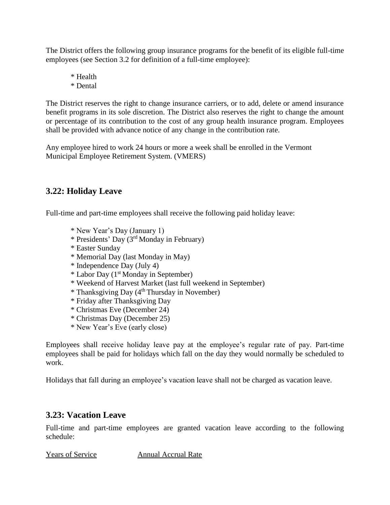The District offers the following group insurance programs for the benefit of its eligible full-time employees (see Section 3.2 for definition of a full-time employee):

\* Health \* Dental

The District reserves the right to change insurance carriers, or to add, delete or amend insurance benefit programs in its sole discretion. The District also reserves the right to change the amount or percentage of its contribution to the cost of any group health insurance program. Employees shall be provided with advance notice of any change in the contribution rate.

Any employee hired to work 24 hours or more a week shall be enrolled in the Vermont Municipal Employee Retirement System. (VMERS)

#### **3.22: Holiday Leave**

Full-time and part-time employees shall receive the following paid holiday leave:

- \* New Year's Day (January 1)
- \* Presidents' Day (3 rd Monday in February)
- \* Easter Sunday
- \* Memorial Day (last Monday in May)
- \* Independence Day (July 4)
- \* Labor Day (1 st Monday in September)
- \* Weekend of Harvest Market (last full weekend in September)
- \* Thanksgiving Day (4 th Thursday in November)
- \* Friday after Thanksgiving Day
- \* Christmas Eve (December 24)
- \* Christmas Day (December 25)
- \* New Year's Eve (early close)

Employees shall receive holiday leave pay at the employee's regular rate of pay. Part-time employees shall be paid for holidays which fall on the day they would normally be scheduled to work.

Holidays that fall during an employee's vacation leave shall not be charged as vacation leave.

### **3.23: Vacation Leave**

Full-time and part-time employees are granted vacation leave according to the following schedule:

Years of Service Annual Accrual Rate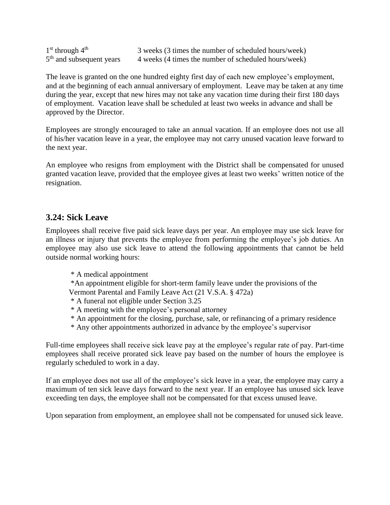| $1st$ through $4th$                  | 3 weeks (3 times the number of scheduled hours/week) |
|--------------------------------------|------------------------------------------------------|
| 5 <sup>th</sup> and subsequent years | 4 weeks (4 times the number of scheduled hours/week) |

The leave is granted on the one hundred eighty first day of each new employee's employment, and at the beginning of each annual anniversary of employment. Leave may be taken at any time during the year, except that new hires may not take any vacation time during their first 180 days of employment. Vacation leave shall be scheduled at least two weeks in advance and shall be approved by the Director.

Employees are strongly encouraged to take an annual vacation. If an employee does not use all of his/her vacation leave in a year, the employee may not carry unused vacation leave forward to the next year.

An employee who resigns from employment with the District shall be compensated for unused granted vacation leave, provided that the employee gives at least two weeks' written notice of the resignation.

#### **3.24: Sick Leave**

Employees shall receive five paid sick leave days per year. An employee may use sick leave for an illness or injury that prevents the employee from performing the employee's job duties. An employee may also use sick leave to attend the following appointments that cannot be held outside normal working hours:

\* A medical appointment

\*An appointment eligible for short-term family leave under the provisions of the Vermont Parental and Family Leave Act (21 V.S.A. § 472a)

- \* A funeral not eligible under Section 3.25
- \* A meeting with the employee's personal attorney
- \* An appointment for the closing, purchase, sale, or refinancing of a primary residence
- \* Any other appointments authorized in advance by the employee's supervisor

Full-time employees shall receive sick leave pay at the employee's regular rate of pay. Part-time employees shall receive prorated sick leave pay based on the number of hours the employee is regularly scheduled to work in a day.

If an employee does not use all of the employee's sick leave in a year, the employee may carry a maximum of ten sick leave days forward to the next year. If an employee has unused sick leave exceeding ten days, the employee shall not be compensated for that excess unused leave.

Upon separation from employment, an employee shall not be compensated for unused sick leave.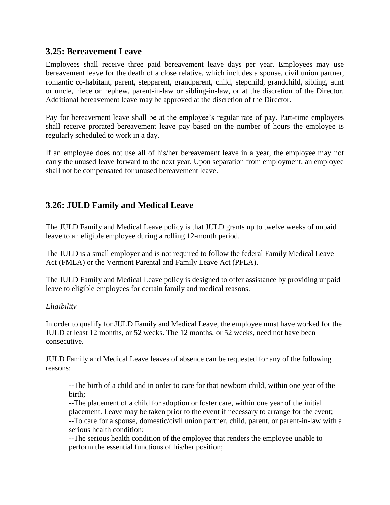#### **3.25: Bereavement Leave**

Employees shall receive three paid bereavement leave days per year. Employees may use bereavement leave for the death of a close relative, which includes a spouse, civil union partner, romantic co-habitant, parent, stepparent, grandparent, child, stepchild, grandchild, sibling, aunt or uncle, niece or nephew, parent-in-law or sibling-in-law, or at the discretion of the Director. Additional bereavement leave may be approved at the discretion of the Director.

Pay for bereavement leave shall be at the employee's regular rate of pay. Part-time employees shall receive prorated bereavement leave pay based on the number of hours the employee is regularly scheduled to work in a day.

If an employee does not use all of his/her bereavement leave in a year, the employee may not carry the unused leave forward to the next year. Upon separation from employment, an employee shall not be compensated for unused bereavement leave.

# **3.26: JULD Family and Medical Leave**

The JULD Family and Medical Leave policy is that JULD grants up to twelve weeks of unpaid leave to an eligible employee during a rolling 12-month period.

The JULD is a small employer and is not required to follow the federal Family Medical Leave Act (FMLA) or the Vermont Parental and Family Leave Act (PFLA).

The JULD Family and Medical Leave policy is designed to offer assistance by providing unpaid leave to eligible employees for certain family and medical reasons.

#### *Eligibility*

In order to qualify for JULD Family and Medical Leave, the employee must have worked for the JULD at least 12 months, or 52 weeks. The 12 months, or 52 weeks, need not have been consecutive.

JULD Family and Medical Leave leaves of absence can be requested for any of the following reasons:

--The birth of a child and in order to care for that newborn child, within one year of the birth;

--The placement of a child for adoption or foster care, within one year of the initial placement. Leave may be taken prior to the event if necessary to arrange for the event; --To care for a spouse, domestic/civil union partner, child, parent, or parent-in-law with a serious health condition;

--The serious health condition of the employee that renders the employee unable to perform the essential functions of his/her position;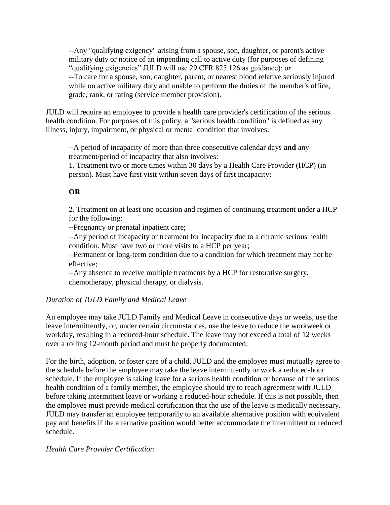--Any "qualifying exigency" arising from a spouse, son, daughter, or parent's active military duty or notice of an impending call to active duty (for purposes of defining "qualifying exigencies" JULD will use 29 CFR 825.126 as guidance); or --To care for a spouse, son, daughter, parent, or nearest blood relative seriously injured while on active military duty and unable to perform the duties of the member's office, grade, rank, or rating (service member provision).

JULD will require an employee to provide a health care provider's certification of the serious health condition. For purposes of this policy, a "serious health condition" is defined as any illness, injury, impairment, or physical or mental condition that involves:

--A period of incapacity of more than three consecutive calendar days **and** any treatment/period of incapacity that also involves:

1. Treatment two or more times within 30 days by a Health Care Provider (HCP) (in person). Must have first visit within seven days of first incapacity;

#### **OR**

2. Treatment on at least one occasion and regimen of continuing treatment under a HCP for the following:

--Pregnancy or prenatal inpatient care;

--Any period of incapacity or treatment for incapacity due to a chronic serious health condition. Must have two or more visits to a HCP per year;

--Permanent or long-term condition due to a condition for which treatment may not be effective;

--Any absence to receive multiple treatments by a HCP for restorative surgery, chemotherapy, physical therapy, or dialysis.

#### *Duration of JULD Family and Medical Leave*

An employee may take JULD Family and Medical Leave in consecutive days or weeks, use the leave intermittently, or, under certain circumstances, use the leave to reduce the workweek or workday, resulting in a reduced-hour schedule. The leave may not exceed a total of 12 weeks over a rolling 12-month period and must be properly documented.

For the birth, adoption, or foster care of a child, JULD and the employee must mutually agree to the schedule before the employee may take the leave intermittently or work a reduced-hour schedule. If the employee is taking leave for a serious health condition or because of the serious health condition of a family member, the employee should try to reach agreement with JULD before taking intermittent leave or working a reduced-hour schedule. If this is not possible, then the employee must provide medical certification that the use of the leave is medically necessary. JULD may transfer an employee temporarily to an available alternative position with equivalent pay and benefits if the alternative position would better accommodate the intermittent or reduced schedule.

#### *Health Care Provider Certification*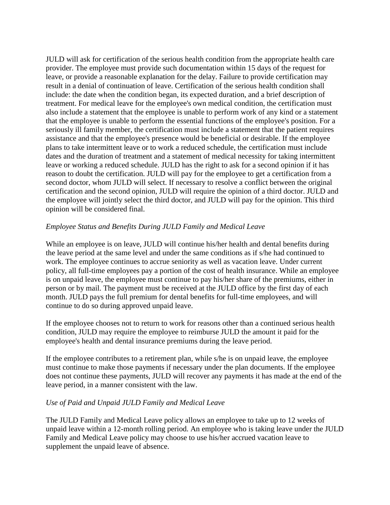JULD will ask for certification of the serious health condition from the appropriate health care provider. The employee must provide such documentation within 15 days of the request for leave, or provide a reasonable explanation for the delay. Failure to provide certification may result in a denial of continuation of leave. Certification of the serious health condition shall include: the date when the condition began, its expected duration, and a brief description of treatment. For medical leave for the employee's own medical condition, the certification must also include a statement that the employee is unable to perform work of any kind or a statement that the employee is unable to perform the essential functions of the employee's position. For a seriously ill family member, the certification must include a statement that the patient requires assistance and that the employee's presence would be beneficial or desirable. If the employee plans to take intermittent leave or to work a reduced schedule, the certification must include dates and the duration of treatment and a statement of medical necessity for taking intermittent leave or working a reduced schedule. JULD has the right to ask for a second opinion if it has reason to doubt the certification. JULD will pay for the employee to get a certification from a second doctor, whom JULD will select. If necessary to resolve a conflict between the original certification and the second opinion, JULD will require the opinion of a third doctor. JULD and the employee will jointly select the third doctor, and JULD will pay for the opinion. This third opinion will be considered final.

#### *Employee Status and Benefits During JULD Family and Medical Leave*

While an employee is on leave, JULD will continue his/her health and dental benefits during the leave period at the same level and under the same conditions as if s/he had continued to work. The employee continues to accrue seniority as well as vacation leave. Under current policy, all full-time employees pay a portion of the cost of health insurance. While an employee is on unpaid leave, the employee must continue to pay his/her share of the premiums, either in person or by mail. The payment must be received at the JULD office by the first day of each month. JULD pays the full premium for dental benefits for full-time employees, and will continue to do so during approved unpaid leave.

If the employee chooses not to return to work for reasons other than a continued serious health condition, JULD may require the employee to reimburse JULD the amount it paid for the employee's health and dental insurance premiums during the leave period.

If the employee contributes to a retirement plan, while s/he is on unpaid leave, the employee must continue to make those payments if necessary under the plan documents. If the employee does not continue these payments, JULD will recover any payments it has made at the end of the leave period, in a manner consistent with the law.

#### *Use of Paid and Unpaid JULD Family and Medical Leave*

The JULD Family and Medical Leave policy allows an employee to take up to 12 weeks of unpaid leave within a 12-month rolling period. An employee who is taking leave under the JULD Family and Medical Leave policy may choose to use his/her accrued vacation leave to supplement the unpaid leave of absence.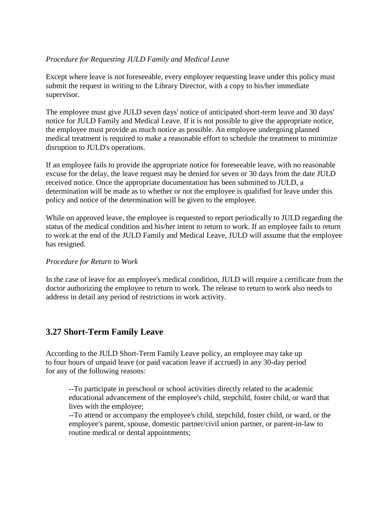#### *Procedure for Requesting JULD Family and Medical Leave*

Except where leave is not foreseeable, every employee requesting leave under this policy must submit the request in writing to the Library Director, with a copy to his/her immediate supervisor.

The employee must give JULD seven days' notice of anticipated short-term leave and 30 days' notice for JULD Family and Medical Leave. If it is not possible to give the appropriate notice, the employee must provide as much notice as possible. An employee undergoing planned medical treatment is required to make a reasonable effort to schedule the treatment to minimize disruption to JULD's operations.

If an employee fails to provide the appropriate notice for foreseeable leave, with no reasonable excuse for the delay, the leave request may be denied for seven or 30 days from the date JULD received notice. Once the appropriate documentation has been submitted to JULD, a determination will be made as to whether or not the employee is qualified for leave under this policy and notice of the determination will be given to the employee.

While on approved leave, the employee is requested to report periodically to JULD regarding the status of the medical condition and his/her intent to return to work. If an employee fails to return to work at the end of the JULD Family and Medical Leave, JULD will assume that the employee has resigned.

#### *Procedure for Return to Work*

In the case of leave for an employee's medical condition, JULD will require a certificate from the doctor authorizing the employee to return to work. The release to return to work also needs to address in detail any period of restrictions in work activity.

### **3.27 Short-Term Family Leave**

According to the JULD Short-Term Family Leave policy, an employee may take up to four hours of unpaid leave (or paid vacation leave if accrued) in any 30-day period for any of the following reasons:

--To participate in preschool or school activities directly related to the academic educational advancement of the employee's child, stepchild, foster child, or ward that lives with the employee;

--To attend or accompany the employee's child, stepchild, foster child, or ward, or the employee's parent, spouse, domestic partner/civil union partner, or parent-in-law to routine medical or dental appointments;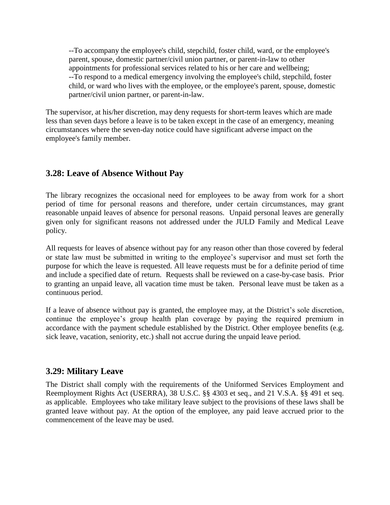--To accompany the employee's child, stepchild, foster child, ward, or the employee's parent, spouse, domestic partner/civil union partner, or parent-in-law to other appointments for professional services related to his or her care and wellbeing; --To respond to a medical emergency involving the employee's child, stepchild, foster child, or ward who lives with the employee, or the employee's parent, spouse, domestic partner/civil union partner, or parent-in-law.

The supervisor, at his/her discretion, may deny requests for short-term leaves which are made less than seven days before a leave is to be taken except in the case of an emergency, meaning circumstances where the seven-day notice could have significant adverse impact on the employee's family member.

#### **3.28: Leave of Absence Without Pay**

The library recognizes the occasional need for employees to be away from work for a short period of time for personal reasons and therefore, under certain circumstances, may grant reasonable unpaid leaves of absence for personal reasons. Unpaid personal leaves are generally given only for significant reasons not addressed under the JULD Family and Medical Leave policy.

All requests for leaves of absence without pay for any reason other than those covered by federal or state law must be submitted in writing to the employee's supervisor and must set forth the purpose for which the leave is requested. All leave requests must be for a definite period of time and include a specified date of return. Requests shall be reviewed on a case-by-case basis. Prior to granting an unpaid leave, all vacation time must be taken. Personal leave must be taken as a continuous period.

If a leave of absence without pay is granted, the employee may, at the District's sole discretion, continue the employee's group health plan coverage by paying the required premium in accordance with the payment schedule established by the District. Other employee benefits (e.g. sick leave, vacation, seniority, etc.) shall not accrue during the unpaid leave period.

#### **3.29: Military Leave**

The District shall comply with the requirements of the Uniformed Services Employment and Reemployment Rights Act (USERRA), 38 U.S.C. §§ 4303 et seq., and 21 V.S.A. §§ 491 et seq. as applicable. Employees who take military leave subject to the provisions of these laws shall be granted leave without pay. At the option of the employee, any paid leave accrued prior to the commencement of the leave may be used.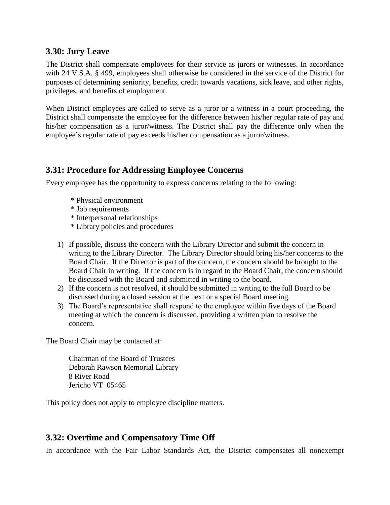#### **3.30: Jury Leave**

The District shall compensate employees for their service as jurors or witnesses. In accordance with 24 V.S.A. § 499, employees shall otherwise be considered in the service of the District for purposes of determining seniority, benefits, credit towards vacations, sick leave, and other rights, privileges, and benefits of employment.

When District employees are called to serve as a juror or a witness in a court proceeding, the District shall compensate the employee for the difference between his/her regular rate of pay and his/her compensation as a juror/witness. The District shall pay the difference only when the employee's regular rate of pay exceeds his/her compensation as a juror/witness.

# **3.31: Procedure for Addressing Employee Concerns**

Every employee has the opportunity to express concerns relating to the following:

- \* Physical environment
- \* Job requirements
- \* Interpersonal relationships
- \* Library policies and procedures
- 1) If possible, discuss the concern with the Library Director and submit the concern in writing to the Library Director. The Library Director should bring his/her concerns to the Board Chair. If the Director is part of the concern, the concern should be brought to the Board Chair in writing. If the concern is in regard to the Board Chair, the concern should be discussed with the Board and submitted in writing to the board.
- 2) If the concern is not resolved, it should be submitted in writing to the full Board to be discussed during a closed session at the next or a special Board meeting.
- 3) The Board's representative shall respond to the employee within five days of the Board meeting at which the concern is discussed, providing a written plan to resolve the concern.

The Board Chair may be contacted at:

Chairman of the Board of Trustees Deborah Rawson Memorial Library 8 River Road Jericho VT 05465

This policy does not apply to employee discipline matters.

### **3.32: Overtime and Compensatory Time Off**

In accordance with the Fair Labor Standards Act, the District compensates all nonexempt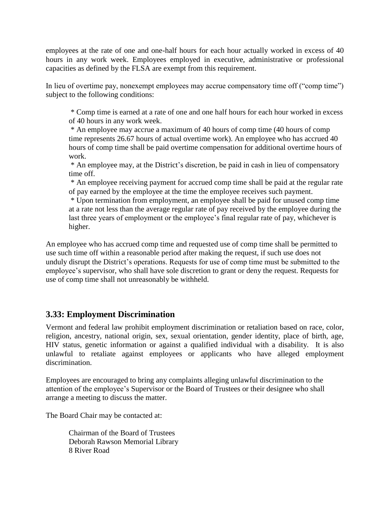employees at the rate of one and one-half hours for each hour actually worked in excess of 40 hours in any work week. Employees employed in executive, administrative or professional capacities as defined by the FLSA are exempt from this requirement.

In lieu of overtime pay, nonexempt employees may accrue compensatory time off ("comp time") subject to the following conditions:

\* Comp time is earned at a rate of one and one half hours for each hour worked in excess of 40 hours in any work week.

\* An employee may accrue a maximum of 40 hours of comp time (40 hours of comp time represents 26.67 hours of actual overtime work). An employee who has accrued 40 hours of comp time shall be paid overtime compensation for additional overtime hours of work.

\* An employee may, at the District's discretion, be paid in cash in lieu of compensatory time off.

\* An employee receiving payment for accrued comp time shall be paid at the regular rate of pay earned by the employee at the time the employee receives such payment.

\* Upon termination from employment, an employee shall be paid for unused comp time at a rate not less than the average regular rate of pay received by the employee during the last three years of employment or the employee's final regular rate of pay, whichever is higher.

An employee who has accrued comp time and requested use of comp time shall be permitted to use such time off within a reasonable period after making the request, if such use does not unduly disrupt the District's operations. Requests for use of comp time must be submitted to the employee's supervisor, who shall have sole discretion to grant or deny the request. Requests for use of comp time shall not unreasonably be withheld.

### **3.33: Employment Discrimination**

Vermont and federal law prohibit employment discrimination or retaliation based on race, color, religion, ancestry, national origin, sex, sexual orientation, gender identity, place of birth, age, HIV status, genetic information or against a qualified individual with a disability. It is also unlawful to retaliate against employees or applicants who have alleged employment discrimination.

Employees are encouraged to bring any complaints alleging unlawful discrimination to the attention of the employee's Supervisor or the Board of Trustees or their designee who shall arrange a meeting to discuss the matter.

The Board Chair may be contacted at:

Chairman of the Board of Trustees Deborah Rawson Memorial Library 8 River Road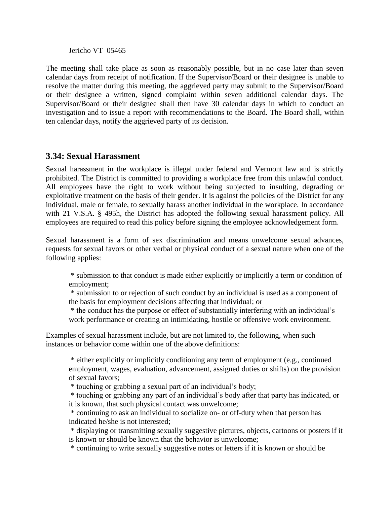Jericho VT 05465

The meeting shall take place as soon as reasonably possible, but in no case later than seven calendar days from receipt of notification. If the Supervisor/Board or their designee is unable to resolve the matter during this meeting, the aggrieved party may submit to the Supervisor/Board or their designee a written, signed complaint within seven additional calendar days. The Supervisor/Board or their designee shall then have 30 calendar days in which to conduct an investigation and to issue a report with recommendations to the Board. The Board shall, within ten calendar days, notify the aggrieved party of its decision.

#### **3.34: Sexual Harassment**

Sexual harassment in the workplace is illegal under federal and Vermont law and is strictly prohibited. The District is committed to providing a workplace free from this unlawful conduct. All employees have the right to work without being subjected to insulting, degrading or exploitative treatment on the basis of their gender. It is against the policies of the District for any individual, male or female, to sexually harass another individual in the workplace. In accordance with 21 V.S.A. § 495h, the District has adopted the following sexual harassment policy. All employees are required to read this policy before signing the employee acknowledgement form.

Sexual harassment is a form of sex discrimination and means unwelcome sexual advances, requests for sexual favors or other verbal or physical conduct of a sexual nature when one of the following applies:

\* submission to that conduct is made either explicitly or implicitly a term or condition of employment;

\* submission to or rejection of such conduct by an individual is used as a component of the basis for employment decisions affecting that individual; or

\* the conduct has the purpose or effect of substantially interfering with an individual's work performance or creating an intimidating, hostile or offensive work environment.

Examples of sexual harassment include, but are not limited to, the following, when such instances or behavior come within one of the above definitions:

\* either explicitly or implicitly conditioning any term of employment (e.g., continued employment, wages, evaluation, advancement, assigned duties or shifts) on the provision of sexual favors;

\* touching or grabbing a sexual part of an individual's body;

\* touching or grabbing any part of an individual's body after that party has indicated, or it is known, that such physical contact was unwelcome;

\* continuing to ask an individual to socialize on- or off-duty when that person has indicated he/she is not interested;

\* displaying or transmitting sexually suggestive pictures, objects, cartoons or posters if it is known or should be known that the behavior is unwelcome;

\* continuing to write sexually suggestive notes or letters if it is known or should be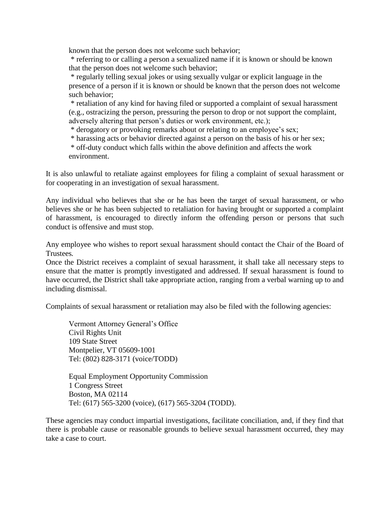known that the person does not welcome such behavior;

\* referring to or calling a person a sexualized name if it is known or should be known that the person does not welcome such behavior;

\* regularly telling sexual jokes or using sexually vulgar or explicit language in the presence of a person if it is known or should be known that the person does not welcome such behavior;

\* retaliation of any kind for having filed or supported a complaint of sexual harassment (e.g., ostracizing the person, pressuring the person to drop or not support the complaint, adversely altering that person's duties or work environment, etc.);

\* derogatory or provoking remarks about or relating to an employee's sex;

\* harassing acts or behavior directed against a person on the basis of his or her sex;

\* off-duty conduct which falls within the above definition and affects the work environment.

It is also unlawful to retaliate against employees for filing a complaint of sexual harassment or for cooperating in an investigation of sexual harassment.

Any individual who believes that she or he has been the target of sexual harassment, or who believes she or he has been subjected to retaliation for having brought or supported a complaint of harassment, is encouraged to directly inform the offending person or persons that such conduct is offensive and must stop.

Any employee who wishes to report sexual harassment should contact the Chair of the Board of Trustees*.* 

Once the District receives a complaint of sexual harassment, it shall take all necessary steps to ensure that the matter is promptly investigated and addressed. If sexual harassment is found to have occurred, the District shall take appropriate action, ranging from a verbal warning up to and including dismissal.

Complaints of sexual harassment or retaliation may also be filed with the following agencies:

Vermont Attorney General's Office Civil Rights Unit 109 State Street Montpelier, VT 05609-1001 Tel: (802) 828-3171 (voice/TODD)

Equal Employment Opportunity Commission 1 Congress Street Boston, MA 02114 Tel: (617) 565-3200 (voice), (617) 565-3204 (TODD).

These agencies may conduct impartial investigations, facilitate conciliation, and, if they find that there is probable cause or reasonable grounds to believe sexual harassment occurred, they may take a case to court.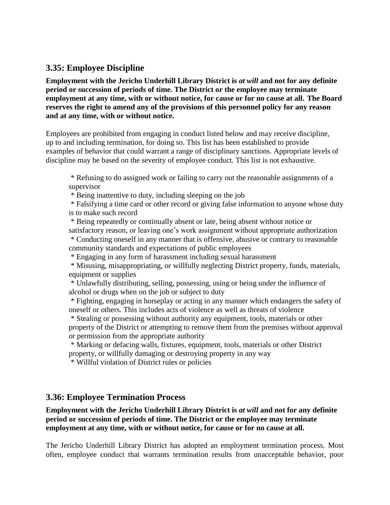#### **3.35: Employee Discipline**

**Employment with the Jericho Underhill Library District is** *at will* **and not for any definite period or succession of periods of time. The District or the employee may terminate employment at any time, with or without notice, for cause or for no cause at all. The Board reserves the right to amend any of the provisions of this personnel policy for any reason and at any time, with or without notice.**

Employees are prohibited from engaging in conduct listed below and may receive discipline, up to and including termination, for doing so. This list has been established to provide examples of behavior that could warrant a range of disciplinary sanctions. Appropriate levels of discipline may be based on the severity of employee conduct. This list is not exhaustive.

\* Refusing to do assigned work or failing to carry out the reasonable assignments of a supervisor

\* Being inattentive to duty, including sleeping on the job

\* Falsifying a time card or other record or giving false information to anyone whose duty is to make such record

\* Being repeatedly or continually absent or late, being absent without notice or satisfactory reason, or leaving one's work assignment without appropriate authorization \* Conducting oneself in any manner that is offensive, abusive or contrary to reasonable community standards and expectations of public employees

\* Engaging in any form of harassment including sexual harassment

\* Misusing, misappropriating, or willfully neglecting District property, funds, materials, equipment or supplies

\* Unlawfully distributing, selling, possessing, using or being under the influence of alcohol or drugs when on the job or subject to duty

\* Fighting, engaging in horseplay or acting in any manner which endangers the safety of oneself or others. This includes acts of violence as well as threats of violence

\* Stealing or possessing without authority any equipment, tools, materials or other property of the District or attempting to remove them from the premises without approval or permission from the appropriate authority

\* Marking or defacing walls, fixtures, equipment, tools, materials or other District property, or willfully damaging or destroying property in any way

\* Willful violation of District rules or policies

#### **3.36: Employee Termination Process**

**Employment with the Jericho Underhill Library District is** *at will* **and not for any definite period or succession of periods of time. The District or the employee may terminate employment at any time, with or without notice, for cause or for no cause at all.**

The Jericho Underhill Library District has adopted an employment termination process. Most often, employee conduct that warrants termination results from unacceptable behavior, poor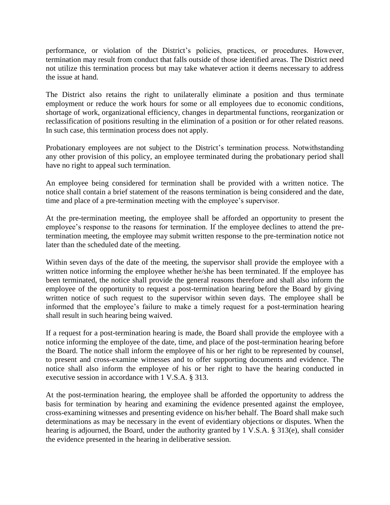performance, or violation of the District's policies, practices, or procedures. However, termination may result from conduct that falls outside of those identified areas. The District need not utilize this termination process but may take whatever action it deems necessary to address the issue at hand.

The District also retains the right to unilaterally eliminate a position and thus terminate employment or reduce the work hours for some or all employees due to economic conditions, shortage of work, organizational efficiency, changes in departmental functions, reorganization or reclassification of positions resulting in the elimination of a position or for other related reasons. In such case, this termination process does not apply.

Probationary employees are not subject to the District's termination process. Notwithstanding any other provision of this policy, an employee terminated during the probationary period shall have no right to appeal such termination.

An employee being considered for termination shall be provided with a written notice. The notice shall contain a brief statement of the reasons termination is being considered and the date, time and place of a pre-termination meeting with the employee's supervisor.

At the pre-termination meeting, the employee shall be afforded an opportunity to present the employee's response to the reasons for termination. If the employee declines to attend the pretermination meeting, the employee may submit written response to the pre-termination notice not later than the scheduled date of the meeting.

Within seven days of the date of the meeting, the supervisor shall provide the employee with a written notice informing the employee whether he/she has been terminated. If the employee has been terminated, the notice shall provide the general reasons therefore and shall also inform the employee of the opportunity to request a post-termination hearing before the Board by giving written notice of such request to the supervisor within seven days. The employee shall be informed that the employee's failure to make a timely request for a post-termination hearing shall result in such hearing being waived.

If a request for a post-termination hearing is made, the Board shall provide the employee with a notice informing the employee of the date, time, and place of the post-termination hearing before the Board. The notice shall inform the employee of his or her right to be represented by counsel, to present and cross-examine witnesses and to offer supporting documents and evidence. The notice shall also inform the employee of his or her right to have the hearing conducted in executive session in accordance with 1 V.S.A. § 313.

At the post-termination hearing, the employee shall be afforded the opportunity to address the basis for termination by hearing and examining the evidence presented against the employee, cross-examining witnesses and presenting evidence on his/her behalf. The Board shall make such determinations as may be necessary in the event of evidentiary objections or disputes. When the hearing is adjourned, the Board, under the authority granted by 1 V.S.A. § 313(e), shall consider the evidence presented in the hearing in deliberative session.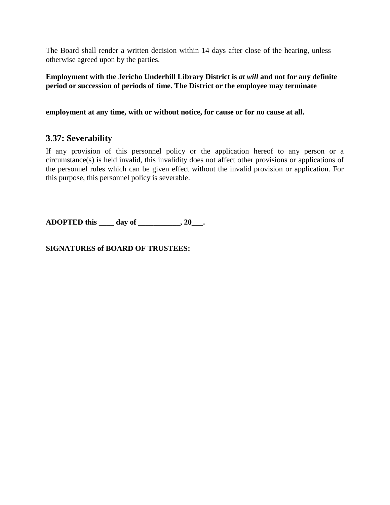The Board shall render a written decision within 14 days after close of the hearing, unless otherwise agreed upon by the parties.

**Employment with the Jericho Underhill Library District is** *at will* **and not for any definite period or succession of periods of time. The District or the employee may terminate** 

**employment at any time, with or without notice, for cause or for no cause at all.** 

### **3.37: Severability**

If any provision of this personnel policy or the application hereof to any person or a circumstance(s) is held invalid, this invalidity does not affect other provisions or applications of the personnel rules which can be given effect without the invalid provision or application. For this purpose, this personnel policy is severable.

**ADOPTED this \_\_\_\_ day of \_\_\_\_\_\_\_\_\_\_\_, 20\_\_\_.** 

**SIGNATURES of BOARD OF TRUSTEES:**